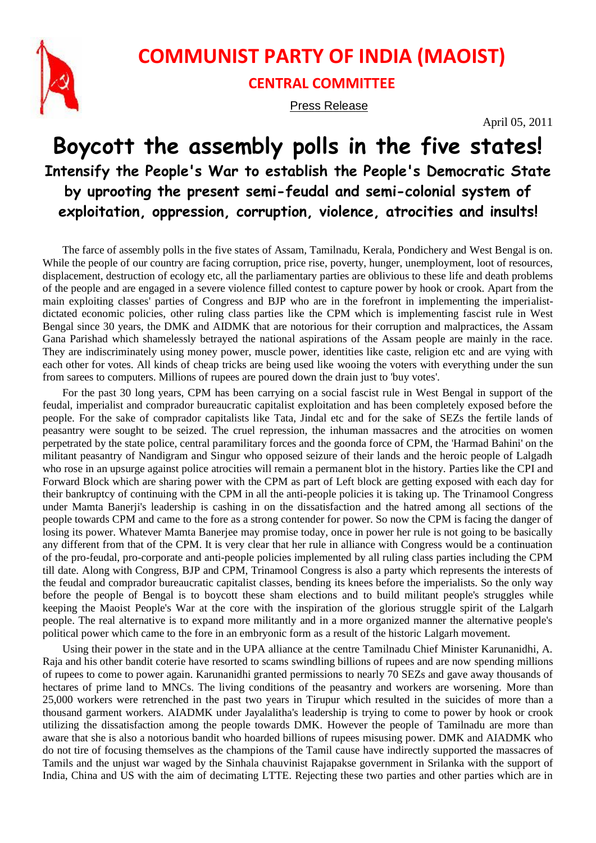

## **COMMUNIST PARTY OF INDIA (MAOIST)**

## **CENTRAL COMMITTEE**

Press Release

April 05, 2011

## **Boycott the assembly polls in the five states! Intensify the People's War to establish the People's Democratic State by uprooting the present semi-feudal and semi-colonial system of exploitation, oppression, corruption, violence, atrocities and insults!**

The farce of assembly polls in the five states of Assam, Tamilnadu, Kerala, Pondichery and West Bengal is on. While the people of our country are facing corruption, price rise, poverty, hunger, unemployment, loot of resources, displacement, destruction of ecology etc, all the parliamentary parties are oblivious to these life and death problems of the people and are engaged in a severe violence filled contest to capture power by hook or crook. Apart from the main exploiting classes' parties of Congress and BJP who are in the forefront in implementing the imperialistdictated economic policies, other ruling class parties like the CPM which is implementing fascist rule in West Bengal since 30 years, the DMK and AIDMK that are notorious for their corruption and malpractices, the Assam Gana Parishad which shamelessly betrayed the national aspirations of the Assam people are mainly in the race. They are indiscriminately using money power, muscle power, identities like caste, religion etc and are vying with each other for votes. All kinds of cheap tricks are being used like wooing the voters with everything under the sun from sarees to computers. Millions of rupees are poured down the drain just to 'buy votes'.

For the past 30 long years, CPM has been carrying on a social fascist rule in West Bengal in support of the feudal, imperialist and comprador bureaucratic capitalist exploitation and has been completely exposed before the people. For the sake of comprador capitalists like Tata, Jindal etc and for the sake of SEZs the fertile lands of peasantry were sought to be seized. The cruel repression, the inhuman massacres and the atrocities on women perpetrated by the state police, central paramilitary forces and the goonda force of CPM, the 'Harmad Bahini' on the militant peasantry of Nandigram and Singur who opposed seizure of their lands and the heroic people of Lalgadh who rose in an upsurge against police atrocities will remain a permanent blot in the history. Parties like the CPI and Forward Block which are sharing power with the CPM as part of Left block are getting exposed with each day for their bankruptcy of continuing with the CPM in all the anti-people policies it is taking up. The Trinamool Congress under Mamta Banerji's leadership is cashing in on the dissatisfaction and the hatred among all sections of the people towards CPM and came to the fore as a strong contender for power. So now the CPM is facing the danger of losing its power. Whatever Mamta Banerjee may promise today, once in power her rule is not going to be basically any different from that of the CPM. It is very clear that her rule in alliance with Congress would be a continuation of the pro-feudal, pro-corporate and anti-people policies implemented by all ruling class parties including the CPM till date. Along with Congress, BJP and CPM, Trinamool Congress is also a party which represents the interests of the feudal and comprador bureaucratic capitalist classes, bending its knees before the imperialists. So the only way before the people of Bengal is to boycott these sham elections and to build militant people's struggles while keeping the Maoist People's War at the core with the inspiration of the glorious struggle spirit of the Lalgarh people. The real alternative is to expand more militantly and in a more organized manner the alternative people's political power which came to the fore in an embryonic form as a result of the historic Lalgarh movement.

Using their power in the state and in the UPA alliance at the centre Tamilnadu Chief Minister Karunanidhi, A. Raja and his other bandit coterie have resorted to scams swindling billions of rupees and are now spending millions of rupees to come to power again. Karunanidhi granted permissions to nearly 70 SEZs and gave away thousands of hectares of prime land to MNCs. The living conditions of the peasantry and workers are worsening. More than 25,000 workers were retrenched in the past two years in Tirupur which resulted in the suicides of more than a thousand garment workers. AIADMK under Jayalalitha's leadership is trying to come to power by hook or crook utilizing the dissatisfaction among the people towards DMK. However the people of Tamilnadu are more than aware that she is also a notorious bandit who hoarded billions of rupees misusing power. DMK and AIADMK who do not tire of focusing themselves as the champions of the Tamil cause have indirectly supported the massacres of Tamils and the unjust war waged by the Sinhala chauvinist Rajapakse government in Srilanka with the support of India, China and US with the aim of decimating LTTE. Rejecting these two parties and other parties which are in